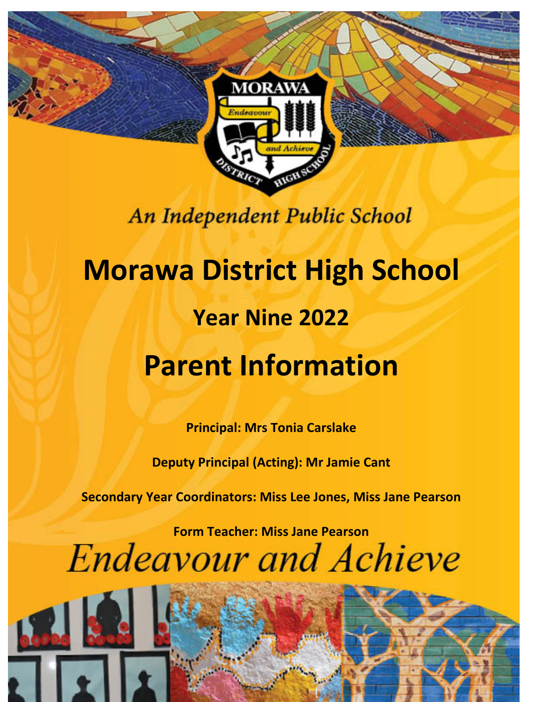

## An Independent Public School

# **Morawa District High School Year Nine 2022 Parent Information**

**Principal: Mrs Tonia Carslake**

**Deputy Principal (Acting): Mr Jamie Cant**

**Secondary Year Coordinators: Miss Lee Jones, Miss Jane Pearson**

**Form Teacher: Miss Jane PearsonEndeavour and Achieve**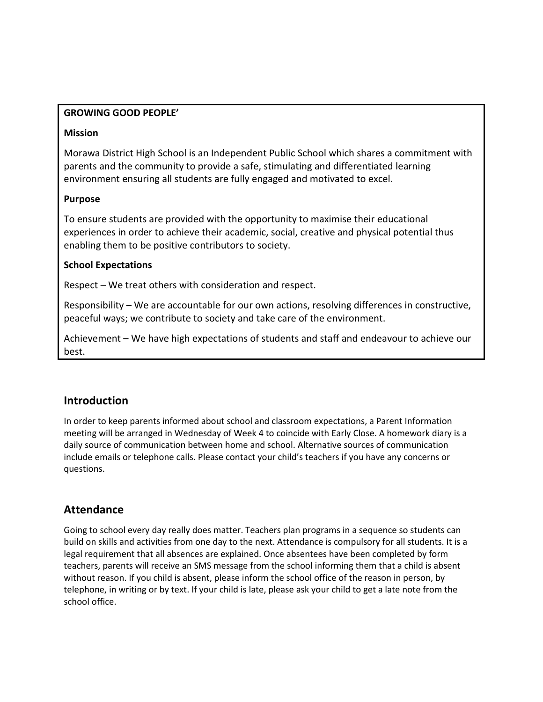#### **GROWING GOOD PEOPLE'**

#### **Mission**

Morawa District High School is an Independent Public School which shares a commitment with parents and the community to provide a safe, stimulating and differentiated learning environment ensuring all students are fully engaged and motivated to excel.

#### **Purpose**

To ensure students are provided with the opportunity to maximise their educational experiences in order to achieve their academic, social, creative and physical potential thus enabling them to be positive contributors to society.

#### **School Expectations**

Respect – We treat others with consideration and respect.

Responsibility – We are accountable for our own actions, resolving differences in constructive, peaceful ways; we contribute to society and take care of the environment.

Achievement – We have high expectations of students and staff and endeavour to achieve our best.

## **Introduction**

In order to keep parents informed about school and classroom expectations, a Parent Information meeting will be arranged in Wednesday of Week 4 to coincide with Early Close. A homework diary is a daily source of communication between home and school. Alternative sources of communication include emails or telephone calls. Please contact your child's teachers if you have any concerns or questions.

## **Attendance**

Going to school every day really does matter. Teachers plan programs in a sequence so students can build on skills and activities from one day to the next. Attendance is compulsory for all students. It is a legal requirement that all absences are explained. Once absentees have been completed by form teachers, parents will receive an SMS message from the school informing them that a child is absent without reason. If you child is absent, please inform the school office of the reason in person, by telephone, in writing or by text. If your child is late, please ask your child to get a late note from the school office.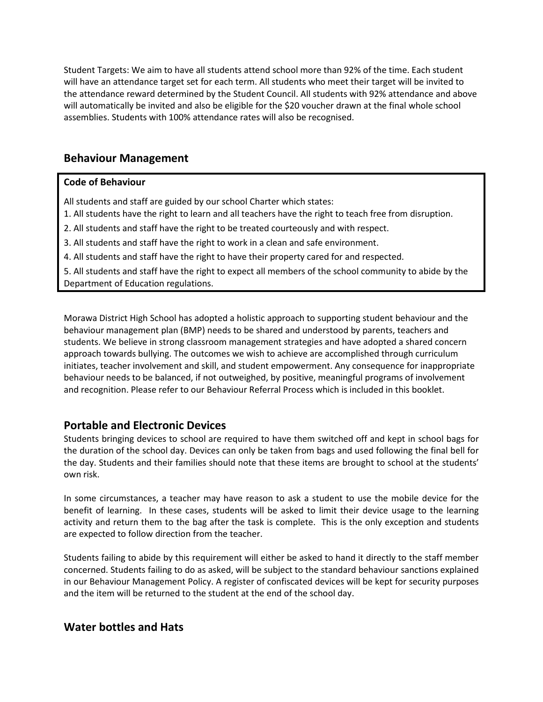Student Targets: We aim to have all students attend school more than 92% of the time. Each student will have an attendance target set for each term. All students who meet their target will be invited to the attendance reward determined by the Student Council. All students with 92% attendance and above will automatically be invited and also be eligible for the \$20 voucher drawn at the final whole school assemblies. Students with 100% attendance rates will also be recognised.

## **Behaviour Management**

#### **Code of Behaviour**

All students and staff are guided by our school Charter which states:

- 1. All students have the right to learn and all teachers have the right to teach free from disruption.
- 2. All students and staff have the right to be treated courteously and with respect.
- 3. All students and staff have the right to work in a clean and safe environment.
- 4. All students and staff have the right to have their property cared for and respected.

5. All students and staff have the right to expect all members of the school community to abide by the Department of Education regulations.

Morawa District High School has adopted a holistic approach to supporting student behaviour and the behaviour management plan (BMP) needs to be shared and understood by parents, teachers and students. We believe in strong classroom management strategies and have adopted a shared concern approach towards bullying. The outcomes we wish to achieve are accomplished through curriculum initiates, teacher involvement and skill, and student empowerment. Any consequence for inappropriate behaviour needs to be balanced, if not outweighed, by positive, meaningful programs of involvement and recognition. Please refer to our Behaviour Referral Process which is included in this booklet.

## **Portable and Electronic Devices**

Students bringing devices to school are required to have them switched off and kept in school bags for the duration of the school day. Devices can only be taken from bags and used following the final bell for the day. Students and their families should note that these items are brought to school at the students' own risk.

In some circumstances, a teacher may have reason to ask a student to use the mobile device for the benefit of learning. In these cases, students will be asked to limit their device usage to the learning activity and return them to the bag after the task is complete. This is the only exception and students are expected to follow direction from the teacher.

Students failing to abide by this requirement will either be asked to hand it directly to the staff member concerned. Students failing to do as asked, will be subject to the standard behaviour sanctions explained in our Behaviour Management Policy. A register of confiscated devices will be kept for security purposes and the item will be returned to the student at the end of the school day.

## **Water bottles and Hats**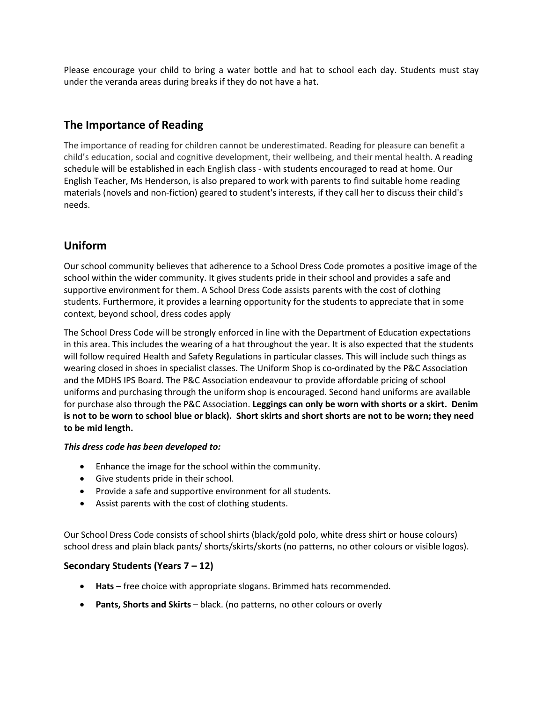Please encourage your child to bring a water bottle and hat to school each day. Students must stay under the veranda areas during breaks if they do not have a hat.

## **The Importance of Reading**

The importance of reading for children cannot be underestimated. Reading for pleasure can benefit a child's education, social and cognitive development, their wellbeing, and their mental health. A reading schedule will be established in each English class - with students encouraged to read at home. Our English Teacher, Ms Henderson, is also prepared to work with parents to find suitable home reading materials (novels and non-fiction) geared to student's interests, if they call her to discuss their child's needs.

## **Uniform**

Our school community believes that adherence to a School Dress Code promotes a positive image of the school within the wider community. It gives students pride in their school and provides a safe and supportive environment for them. A School Dress Code assists parents with the cost of clothing students. Furthermore, it provides a learning opportunity for the students to appreciate that in some context, beyond school, dress codes apply

The School Dress Code will be strongly enforced in line with the Department of Education expectations in this area. This includes the wearing of a hat throughout the year. It is also expected that the students will follow required Health and Safety Regulations in particular classes. This will include such things as wearing closed in shoes in specialist classes. The Uniform Shop is co-ordinated by the P&C Association and the MDHS IPS Board. The P&C Association endeavour to provide affordable pricing of school uniforms and purchasing through the uniform shop is encouraged. Second hand uniforms are available for purchase also through the P&C Association. **Leggings can only be worn with shorts or a skirt. Denim is not to be worn to school blue or black). Short skirts and short shorts are not to be worn; they need to be mid length.**

#### *This dress code has been developed to:*

- Enhance the image for the school within the community.
- Give students pride in their school.
- Provide a safe and supportive environment for all students.
- Assist parents with the cost of clothing students.

Our School Dress Code consists of school shirts (black/gold polo, white dress shirt or house colours) school dress and plain black pants/ shorts/skirts/skorts (no patterns, no other colours or visible logos).

#### **Secondary Students (Years 7 – 12)**

- **Hats** free choice with appropriate slogans. Brimmed hats recommended.
- **Pants, Shorts and Skirts** black. (no patterns, no other colours or overly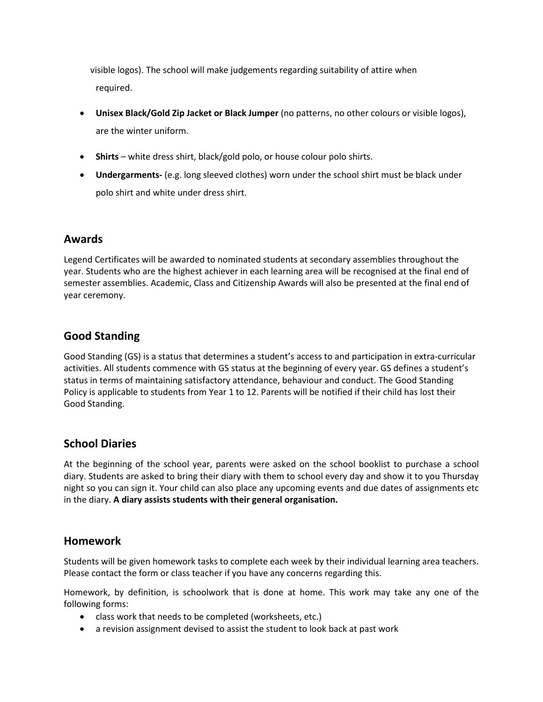visible logos). The school will make judgements regarding suitability of attire when required.

- **Unisex Black/Gold Zip Jacket or Black Jumper** (no patterns, no other colours or visible logos), are the winter uniform.
- **Shirts** white dress shirt, black/gold polo, or house colour polo shirts.
- **Undergarments-** (e.g. long sleeved clothes) worn under the school shirt must be black under polo shirt and white under dress shirt.

## **Awards**

Legend Certificates will be awarded to nominated students at secondary assemblies throughout the year. Students who are the highest achiever in each learning area will be recognised at the final end of semester assemblies. Academic, Class and Citizenship Awards will also be presented at the final end of year ceremony.

## **Good Standing**

Good Standing (GS) is a status that determines a student's access to and participation in extra-curricular activities. All students commence with GS status at the beginning of every year. GS defines a student's status in terms of maintaining satisfactory attendance, behaviour and conduct. The Good Standing Policy is applicable to students from Year 1 to 12. Parents will be notified if their child has lost their Good Standing.

## **School Diaries**

At the beginning of the school year, parents were asked on the school booklist to purchase a school diary. Students are asked to bring their diary with them to school every day and show it to you Thursday night so you can sign it. Your child can also place any upcoming events and due dates of assignments etc in the diary. **A diary assists students with their general organisation.**

## **Homework**

Students will be given homework tasks to complete each week by their individual learning area teachers. Please contact the form or class teacher if you have any concerns regarding this.

Homework, by definition, is schoolwork that is done at home. This work may take any one of the following forms:

- class work that needs to be completed (worksheets, etc.)
- a revision assignment devised to assist the student to look back at past work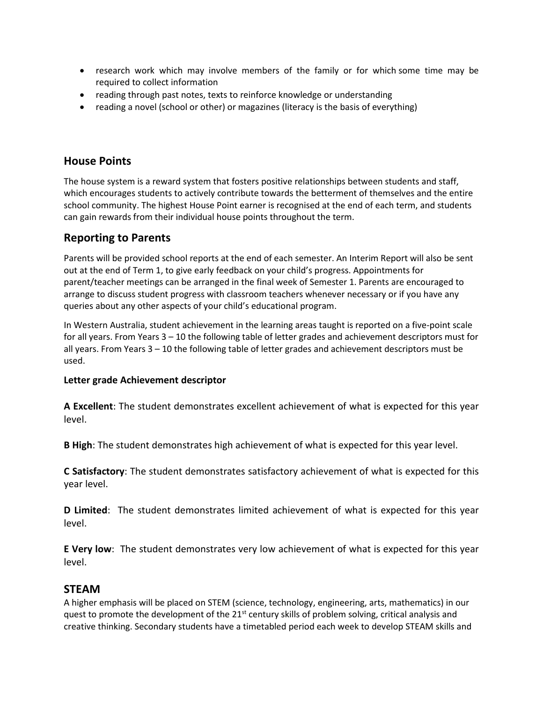- research work which may involve members of the family or for which some time may be required to collect information
- reading through past notes, texts to reinforce knowledge or understanding
- reading a novel (school or other) or magazines (literacy is the basis of everything)

## **House Points**

The house system is a reward system that fosters positive relationships between students and staff, which encourages students to actively contribute towards the betterment of themselves and the entire school community. The highest House Point earner is recognised at the end of each term, and students can gain rewards from their individual house points throughout the term.

## **Reporting to Parents**

Parents will be provided school reports at the end of each semester. An Interim Report will also be sent out at the end of Term 1, to give early feedback on your child's progress. Appointments for parent/teacher meetings can be arranged in the final week of Semester 1. Parents are encouraged to arrange to discuss student progress with classroom teachers whenever necessary or if you have any queries about any other aspects of your child's educational program.

In Western Australia, student achievement in the learning areas taught is reported on a five-point scale for all years. From Years 3 – 10 the following table of letter grades and achievement descriptors must for all years. From Years 3 – 10 the following table of letter grades and achievement descriptors must be used.

#### **Letter grade Achievement descriptor**

**A Excellent**: The student demonstrates excellent achievement of what is expected for this year level.

**B High**: The student demonstrates high achievement of what is expected for this year level.

**C Satisfactory**: The student demonstrates satisfactory achievement of what is expected for this year level.

**D Limited**: The student demonstrates limited achievement of what is expected for this year level.

**E Very low**: The student demonstrates very low achievement of what is expected for this year level.

## **STEAM**

A higher emphasis will be placed on STEM (science, technology, engineering, arts, mathematics) in our quest to promote the development of the  $21<sup>st</sup>$  century skills of problem solving, critical analysis and creative thinking. Secondary students have a timetabled period each week to develop STEAM skills and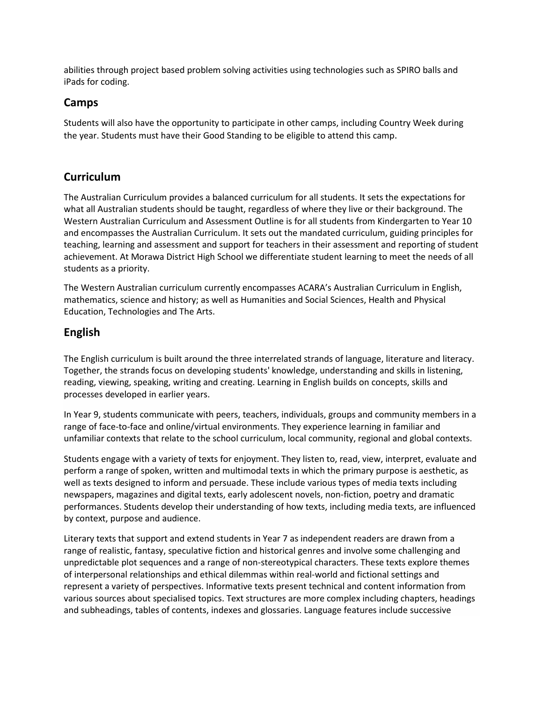abilities through project based problem solving activities using technologies such as SPIRO balls and iPads for coding.

## **Camps**

Students will also have the opportunity to participate in other camps, including Country Week during the year. Students must have their Good Standing to be eligible to attend this camp.

## **Curriculum**

The Australian Curriculum provides a balanced curriculum for all students. It sets the expectations for what all Australian students should be taught, regardless of where they live or their background. The Western Australian Curriculum and Assessment Outline is for all students from Kindergarten to Year 10 and encompasses the Australian Curriculum. It sets out the mandated curriculum, guiding principles for teaching, learning and assessment and support for teachers in their assessment and reporting of student achievement. At Morawa District High School we differentiate student learning to meet the needs of all students as a priority.

The Western Australian curriculum currently encompasses ACARA's Australian Curriculum in English, mathematics, science and history; as well as Humanities and Social Sciences, Health and Physical Education, Technologies and The Arts.

## **English**

The English curriculum is built around the three interrelated strands of language, literature and literacy. Together, the strands focus on developing students' knowledge, understanding and skills in listening, reading, viewing, speaking, writing and creating. Learning in English builds on concepts, skills and processes developed in earlier years.

In Year 9, students communicate with peers, teachers, individuals, groups and community members in a range of face-to-face and online/virtual environments. They experience learning in familiar and unfamiliar contexts that relate to the school curriculum, local community, regional and global contexts.

Students engage with a variety of texts for enjoyment. They listen to, read, view, interpret, evaluate and perform a range of spoken, written and multimodal texts in which the primary purpose is aesthetic, as well as texts designed to inform and persuade. These include various types of media texts including newspapers, magazines and digital texts, early adolescent novels, non-fiction, poetry and dramatic performances. Students develop their understanding of how texts, including media texts, are influenced by context, purpose and audience.

Literary texts that support and extend students in Year 7 as independent readers are drawn from a range of realistic, fantasy, speculative fiction and historical genres and involve some challenging and unpredictable plot sequences and a range of non-stereotypical characters. These texts explore themes of interpersonal relationships and ethical dilemmas within real-world and fictional settings and represent a variety of perspectives. Informative texts present technical and content information from various sources about specialised topics. Text structures are more complex including chapters, headings and subheadings, tables of contents, indexes and glossaries. Language features include successive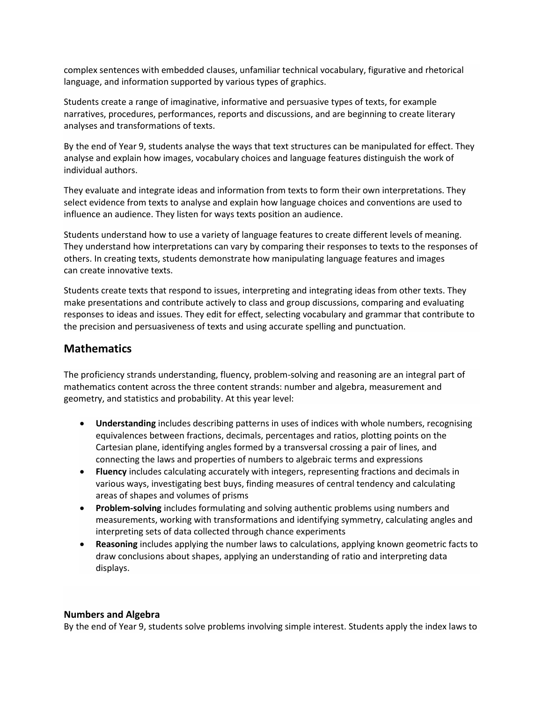complex sentences with embedded clauses, unfamiliar technical vocabulary, figurative and rhetorical language, and information supported by various types of graphics.

Students create a range of imaginative, informative and persuasive types of texts, for example narratives, procedures, performances, reports and discussions, and are beginning to create literary analyses and transformations of texts.

By the end of Year 9, students analyse the ways that text structures can be manipulated for effect. They analyse and explain how images, vocabulary choices and language features distinguish the work of individual authors.

They evaluate and integrate ideas and information from texts to form their own interpretations. They select evidence from texts to analyse and explain how language choices and conventions are used to influence an audience. They listen for ways texts position an audience.

Students understand how to use a variety of language features to create different levels of meaning. They understand how interpretations can vary by comparing their responses to texts to the responses of others. In creating texts, students demonstrate how manipulating language features and images can create innovative texts.

Students create texts that respond to issues, interpreting and integrating ideas from other texts. They make presentations and contribute actively to class and group discussions, comparing and evaluating responses to ideas and issues. They edit for effect, selecting vocabulary and grammar that contribute to the precision and persuasiveness of texts and using accurate spelling and punctuation.

## **Mathematics**

The proficiency strands understanding, fluency, problem-solving and reasoning are an integral part of mathematics content across the three content strands: number and algebra, measurement and geometry, and statistics and probability. At this year level:

- **Understanding** includes describing patterns in uses of indices with whole numbers, recognising equivalences between fractions, decimals, percentages and ratios, plotting points on the Cartesian plane, identifying angles formed by a transversal crossing a pair of lines, and connecting the laws and properties of numbers to algebraic terms and expressions
- **Fluency** includes calculating accurately with integers, representing fractions and decimals in various ways, investigating best buys, finding measures of central tendency and calculating areas of shapes and volumes of prisms
- **Problem-solving** includes formulating and solving authentic problems using numbers and measurements, working with transformations and identifying symmetry, calculating angles and interpreting sets of data collected through chance experiments
- **Reasoning** includes applying the number laws to calculations, applying known geometric facts to draw conclusions about shapes, applying an understanding of ratio and interpreting data displays.

#### **Numbers and Algebra**

By the end of Year 9, students solve problems involving simple interest. Students apply the index laws to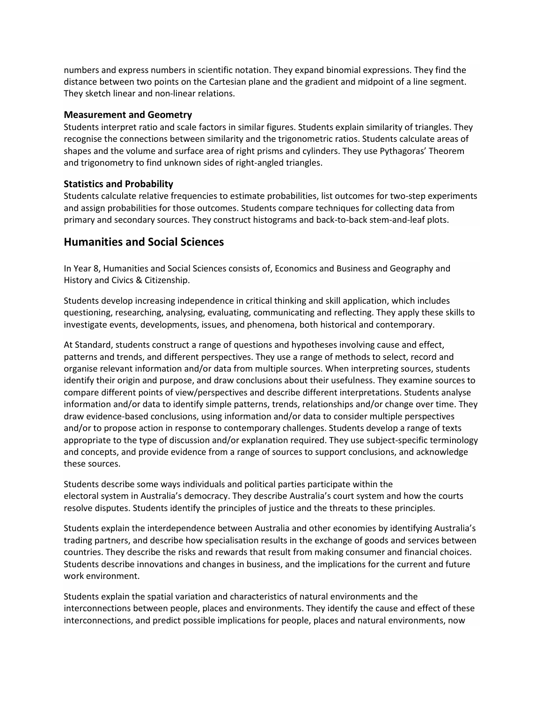numbers and express numbers in scientific notation. They expand binomial expressions. They find the distance between two points on the Cartesian plane and the gradient and midpoint of a line segment. They sketch linear and non-linear relations.

#### **Measurement and Geometry**

Students interpret ratio and scale factors in similar figures. Students explain similarity of triangles. They recognise the connections between similarity and the trigonometric ratios. Students calculate areas of shapes and the volume and surface area of right prisms and cylinders. They use Pythagoras' Theorem and trigonometry to find unknown sides of right-angled triangles.

#### **Statistics and Probability**

Students calculate relative frequencies to estimate probabilities, list outcomes for two-step experiments and assign probabilities for those outcomes. Students compare techniques for collecting data from primary and secondary sources. They construct histograms and back-to-back stem-and-leaf plots.

## **Humanities and Social Sciences**

In Year 8, Humanities and Social Sciences consists of, Economics and Business and Geography and History and Civics & Citizenship.

Students develop increasing independence in critical thinking and skill application, which includes questioning, researching, analysing, evaluating, communicating and reflecting. They apply these skills to investigate events, developments, issues, and phenomena, both historical and contemporary.

At Standard, students construct a range of questions and hypotheses involving cause and effect, patterns and trends, and different perspectives. They use a range of methods to select, record and organise relevant information and/or data from multiple sources. When interpreting sources, students identify their origin and purpose, and draw conclusions about their usefulness. They examine sources to compare different points of view/perspectives and describe different interpretations. Students analyse information and/or data to identify simple patterns, trends, relationships and/or change over time. They draw evidence-based conclusions, using information and/or data to consider multiple perspectives and/or to propose action in response to contemporary challenges. Students develop a range of texts appropriate to the type of discussion and/or explanation required. They use subject-specific terminology and concepts, and provide evidence from a range of sources to support conclusions, and acknowledge these sources.

Students describe some ways individuals and political parties participate within the electoral system in Australia's democracy. They describe Australia's court system and how the courts resolve disputes. Students identify the principles of justice and the threats to these principles.

Students explain the interdependence between Australia and other economies by identifying Australia's trading partners, and describe how specialisation results in the exchange of goods and services between countries. They describe the risks and rewards that result from making consumer and financial choices. Students describe innovations and changes in business, and the implications for the current and future work environment.

Students explain the spatial variation and characteristics of natural environments and the interconnections between people, places and environments. They identify the cause and effect of these interconnections, and predict possible implications for people, places and natural environments, now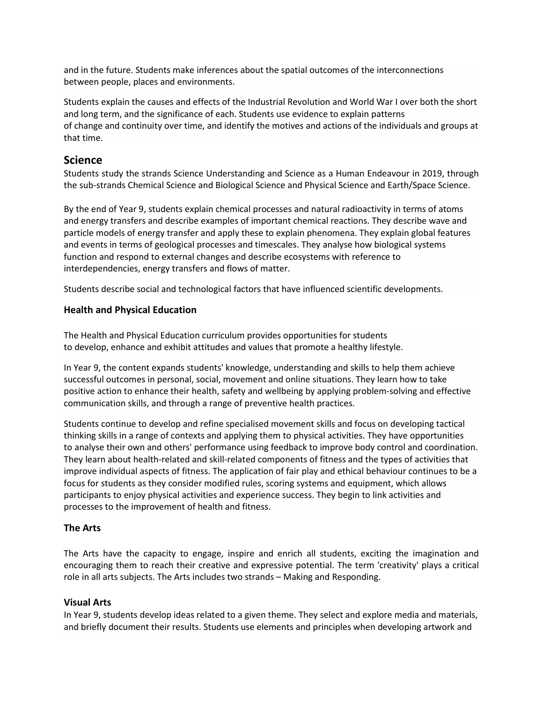and in the future. Students make inferences about the spatial outcomes of the interconnections between people, places and environments.

Students explain the causes and effects of the Industrial Revolution and World War I over both the short and long term, and the significance of each. Students use evidence to explain patterns of change and continuity over time, and identify the motives and actions of the individuals and groups at that time.

## **Science**

Students study the strands Science Understanding and Science as a Human Endeavour in 2019, through the sub-strands Chemical Science and Biological Science and Physical Science and Earth/Space Science.

By the end of Year 9, students explain chemical processes and natural radioactivity in terms of atoms and energy transfers and describe examples of important chemical reactions. They describe wave and particle models of energy transfer and apply these to explain phenomena. They explain global features and events in terms of geological processes and timescales. They analyse how biological systems function and respond to external changes and describe ecosystems with reference to interdependencies, energy transfers and flows of matter.

Students describe social and technological factors that have influenced scientific developments.

#### **Health and Physical Education**

The Health and Physical Education curriculum provides opportunities for students to develop, enhance and exhibit attitudes and values that promote a healthy lifestyle.

In Year 9, the content expands students' knowledge, understanding and skills to help them achieve successful outcomes in personal, social, movement and online situations. They learn how to take positive action to enhance their health, safety and wellbeing by applying problem-solving and effective communication skills, and through a range of preventive health practices.

Students continue to develop and refine specialised movement skills and focus on developing tactical thinking skills in a range of contexts and applying them to physical activities. They have opportunities to analyse their own and others' performance using feedback to improve body control and coordination. They learn about health-related and skill-related components of fitness and the types of activities that improve individual aspects of fitness. The application of fair play and ethical behaviour continues to be a focus for students as they consider modified rules, scoring systems and equipment, which allows participants to enjoy physical activities and experience success. They begin to link activities and processes to the improvement of health and fitness.

#### **The Arts**

The Arts have the capacity to engage, inspire and enrich all students, exciting the imagination and encouraging them to reach their creative and expressive potential. The term 'creativity' plays a critical role in all arts subjects. The Arts includes two strands – Making and Responding.

#### **Visual Arts**

In Year 9, students develop ideas related to a given theme. They select and explore media and materials, and briefly document their results. Students use elements and principles when developing artwork and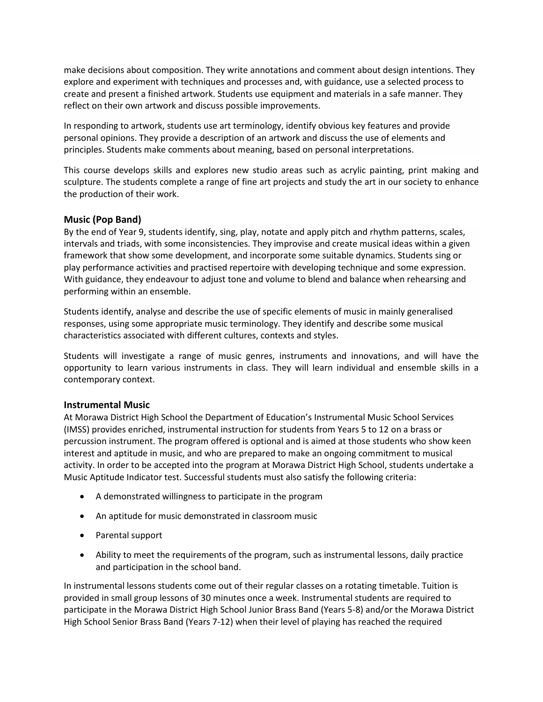make decisions about composition. They write annotations and comment about design intentions. They explore and experiment with techniques and processes and, with guidance, use a selected process to create and present a finished artwork. Students use equipment and materials in a safe manner. They reflect on their own artwork and discuss possible improvements.

In responding to artwork, students use art terminology, identify obvious key features and provide personal opinions. They provide a description of an artwork and discuss the use of elements and principles. Students make comments about meaning, based on personal interpretations.

This course develops skills and explores new studio areas such as acrylic painting, print making and sculpture. The students complete a range of fine art projects and study the art in our society to enhance the production of their work.

#### **Music (Pop Band)**

By the end of Year 9, students identify, sing, play, notate and apply pitch and rhythm patterns, scales, intervals and triads, with some inconsistencies. They improvise and create musical ideas within a given framework that show some development, and incorporate some suitable dynamics. Students sing or play performance activities and practised repertoire with developing technique and some expression. With guidance, they endeavour to adjust tone and volume to blend and balance when rehearsing and performing within an ensemble.

Students identify, analyse and describe the use of specific elements of music in mainly generalised responses, using some appropriate music terminology. They identify and describe some musical characteristics associated with different cultures, contexts and styles.

Students will investigate a range of music genres, instruments and innovations, and will have the opportunity to learn various instruments in class. They will learn individual and ensemble skills in a contemporary context.

#### **Instrumental Music**

At Morawa District High School the Department of Education's Instrumental Music School Services (IMSS) provides enriched, instrumental instruction for students from Years 5 to 12 on a brass or percussion instrument. The program offered is optional and is aimed at those students who show keen interest and aptitude in music, and who are prepared to make an ongoing commitment to musical activity. In order to be accepted into the program at Morawa District High School, students undertake a Music Aptitude Indicator test. Successful students must also satisfy the following criteria:

- A demonstrated willingness to participate in the program
- An aptitude for music demonstrated in classroom music
- Parental support
- Ability to meet the requirements of the program, such as instrumental lessons, daily practice and participation in the school band.

In instrumental lessons students come out of their regular classes on a rotating timetable. Tuition is provided in small group lessons of 30 minutes once a week. Instrumental students are required to participate in the Morawa District High School Junior Brass Band (Years 5-8) and/or the Morawa District High School Senior Brass Band (Years 7-12) when their level of playing has reached the required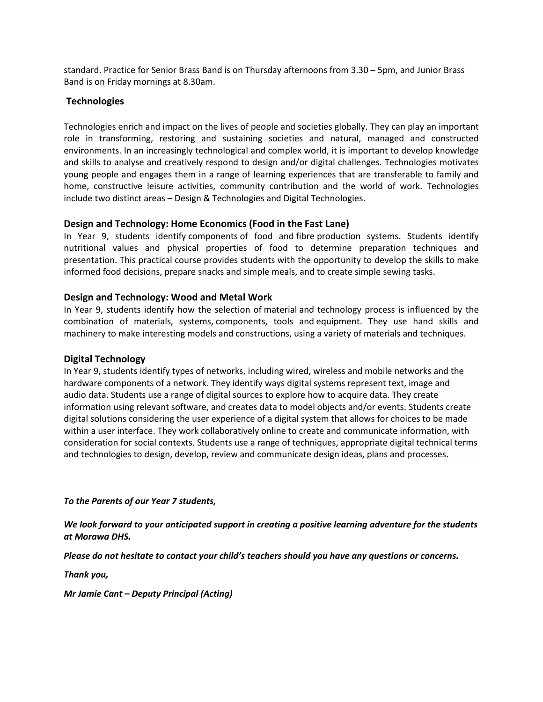standard. Practice for Senior Brass Band is on Thursday afternoons from 3.30 – 5pm, and Junior Brass Band is on Friday mornings at 8.30am.

#### **Technologies**

Technologies enrich and impact on the lives of people and societies globally. They can play an important role in transforming, restoring and sustaining societies and natural, managed and constructed environments. In an increasingly technological and complex world, it is important to develop knowledge and skills to analyse and creatively respond to design and/or digital challenges. Technologies motivates young people and engages them in a range of learning experiences that are transferable to family and home, constructive leisure activities, community contribution and the world of work. Technologies include two distinct areas – Design & Technologies and Digital Technologies.

#### **Design and Technology: Home Economics (Food in the Fast Lane)**

In Year 9, students identify components of food and fibre production systems. Students identify nutritional values and physical properties of food to determine preparation techniques and presentation. This practical course provides students with the opportunity to develop the skills to make informed food decisions, prepare snacks and simple meals, and to create simple sewing tasks.

#### **Design and Technology: Wood and Metal Work**

In Year 9, students identify how the selection of material and technology process is influenced by the combination of materials, systems, components, tools and equipment. They use hand skills and machinery to make interesting models and constructions, using a variety of materials and techniques.

#### **Digital Technology**

In Year 9, students identify types of networks, including wired, wireless and mobile networks and the hardware components of a network. They identify ways digital systems represent text, image and audio data. Students use a range of digital sources to explore how to acquire data. They create information using relevant software, and creates data to model objects and/or events. Students create digital solutions considering the user experience of a digital system that allows for choices to be made within a user interface. They work collaboratively online to create and communicate information, with consideration for social contexts. Students use a range of techniques, appropriate digital technical terms and technologies to design, develop, review and communicate design ideas, plans and processes.

*To the Parents of our Year 7 students,*

*We look forward to your anticipated support in creating a positive learning adventure for the students at Morawa DHS.*

*Please do not hesitate to contact your child's teachers should you have any questions or concerns.*

*Thank you,*

*Mr Jamie Cant – Deputy Principal (Acting)*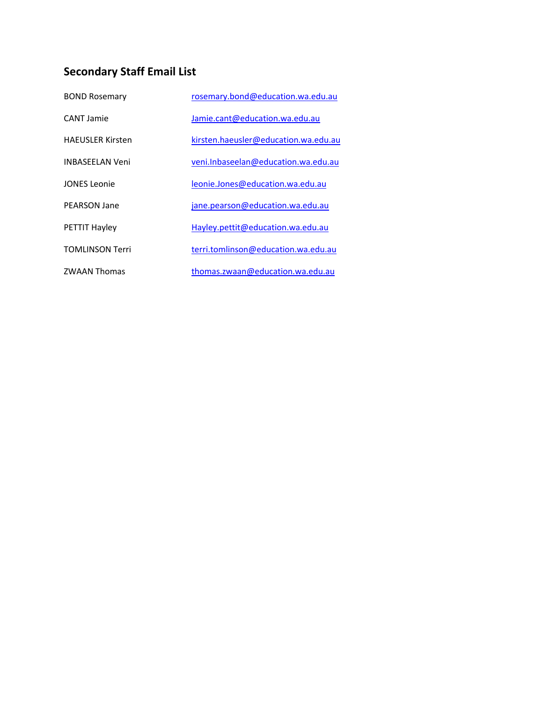## **Secondary Staff Email List**

| <b>BOND Rosemary</b>    | rosemary.bond@education.wa.edu.au    |
|-------------------------|--------------------------------------|
| <b>CANT Jamie</b>       | Jamie.cant@education.wa.edu.au       |
| <b>HAFUSLER Kirsten</b> | kirsten.haeusler@education.wa.edu.au |
| <b>INBASFFI AN Veni</b> | veni.Inbaseelan@education.wa.edu.au  |
| JONES Leonie            | leonie.Jones@education.wa.edu.au     |
| PFARSON Jane            | jane.pearson@education.wa.edu.au     |
| <b>PETTIT Hayley</b>    | Hayley.pettit@education.wa.edu.au    |
| <b>TOMLINSON Terri</b>  | terri.tomlinson@education.wa.edu.au  |
| <b>ZWAAN Thomas</b>     | thomas.zwaan@education.wa.edu.au     |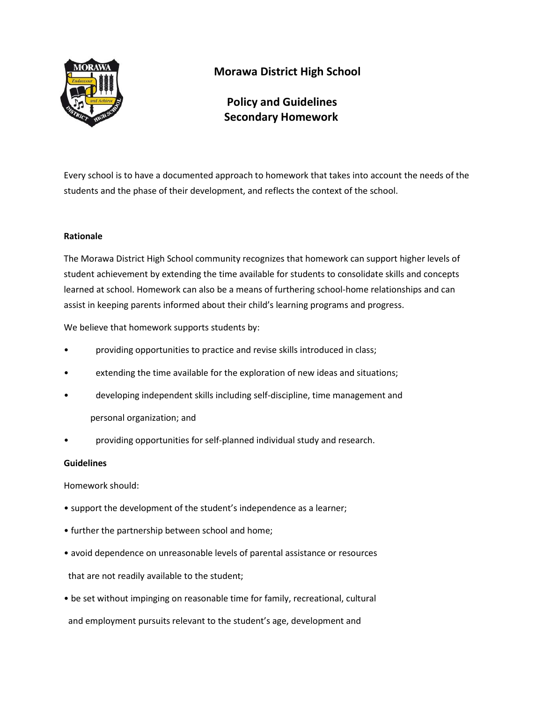

## **Morawa District High School**

 **Policy and Guidelines Secondary Homework**

Every school is to have a documented approach to homework that takes into account the needs of the students and the phase of their development, and reflects the context of the school.

#### **Rationale**

The Morawa District High School community recognizes that homework can support higher levels of student achievement by extending the time available for students to consolidate skills and concepts learned at school. Homework can also be a means of furthering school-home relationships and can assist in keeping parents informed about their child's learning programs and progress.

We believe that homework supports students by:

- providing opportunities to practice and revise skills introduced in class;
- extending the time available for the exploration of new ideas and situations;
- developing independent skills including self-discipline, time management and personal organization; and
- providing opportunities for self-planned individual study and research.

#### **Guidelines**

Homework should:

- support the development of the student's independence as a learner;
- further the partnership between school and home;
- avoid dependence on unreasonable levels of parental assistance or resources that are not readily available to the student;
- be set without impinging on reasonable time for family, recreational, cultural and employment pursuits relevant to the student's age, development and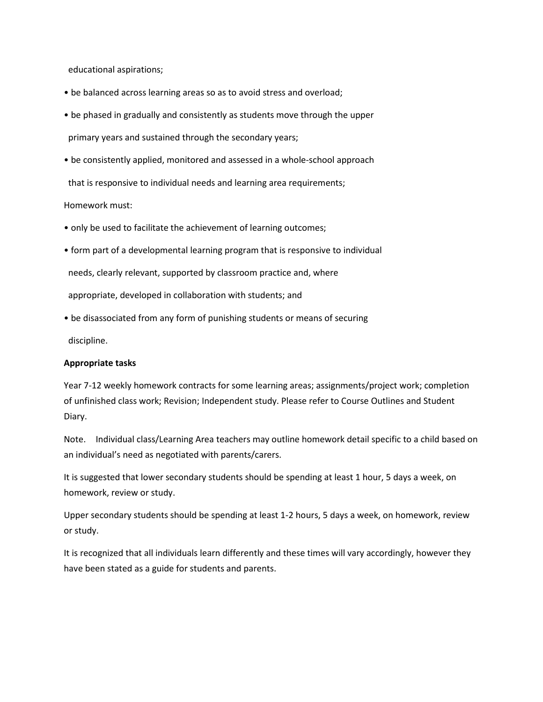educational aspirations;

- be balanced across learning areas so as to avoid stress and overload;
- be phased in gradually and consistently as students move through the upper primary years and sustained through the secondary years;
- be consistently applied, monitored and assessed in a whole-school approach

that is responsive to individual needs and learning area requirements;

Homework must:

- only be used to facilitate the achievement of learning outcomes;
- form part of a developmental learning program that is responsive to individual needs, clearly relevant, supported by classroom practice and, where appropriate, developed in collaboration with students; and
- be disassociated from any form of punishing students or means of securing

discipline.

#### **Appropriate tasks**

Year 7-12 weekly homework contracts for some learning areas; assignments/project work; completion of unfinished class work; Revision; Independent study. Please refer to Course Outlines and Student Diary.

Note. Individual class/Learning Area teachers may outline homework detail specific to a child based on an individual's need as negotiated with parents/carers.

It is suggested that lower secondary students should be spending at least 1 hour, 5 days a week, on homework, review or study.

Upper secondary students should be spending at least 1-2 hours, 5 days a week, on homework, review or study.

It is recognized that all individuals learn differently and these times will vary accordingly, however they have been stated as a guide for students and parents.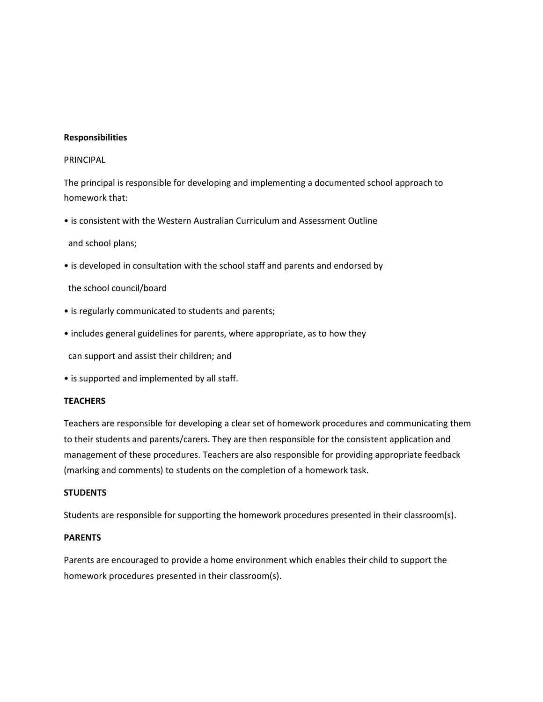#### **Responsibilities**

#### PRINCIPAL

The principal is responsible for developing and implementing a documented school approach to homework that:

• is consistent with the Western Australian Curriculum and Assessment Outline

and school plans;

• is developed in consultation with the school staff and parents and endorsed by

the school council/board

- is regularly communicated to students and parents;
- includes general guidelines for parents, where appropriate, as to how they

can support and assist their children; and

• is supported and implemented by all staff.

#### **TEACHERS**

Teachers are responsible for developing a clear set of homework procedures and communicating them to their students and parents/carers. They are then responsible for the consistent application and management of these procedures. Teachers are also responsible for providing appropriate feedback (marking and comments) to students on the completion of a homework task.

#### **STUDENTS**

Students are responsible for supporting the homework procedures presented in their classroom(s).

#### **PARENTS**

Parents are encouraged to provide a home environment which enables their child to support the homework procedures presented in their classroom(s).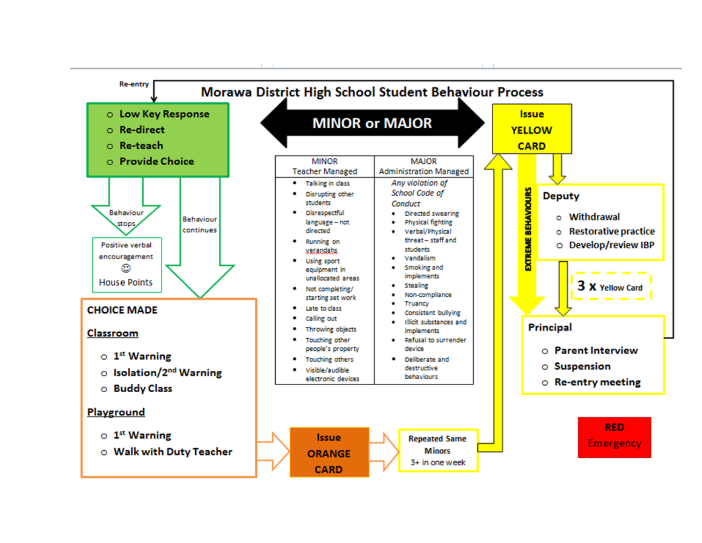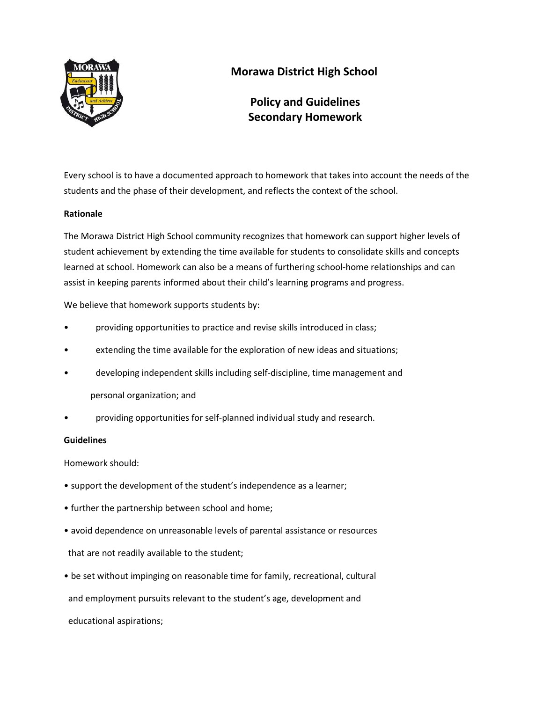

## **Morawa District High School**

## **Policy and Guidelines Secondary Homework**

Every school is to have a documented approach to homework that takes into account the needs of the students and the phase of their development, and reflects the context of the school.

#### **Rationale**

The Morawa District High School community recognizes that homework can support higher levels of student achievement by extending the time available for students to consolidate skills and concepts learned at school. Homework can also be a means of furthering school-home relationships and can assist in keeping parents informed about their child's learning programs and progress.

We believe that homework supports students by:

- providing opportunities to practice and revise skills introduced in class;
- extending the time available for the exploration of new ideas and situations;
- developing independent skills including self-discipline, time management and personal organization; and
- providing opportunities for self-planned individual study and research.

#### **Guidelines**

Homework should:

- support the development of the student's independence as a learner;
- further the partnership between school and home;
- avoid dependence on unreasonable levels of parental assistance or resources that are not readily available to the student;
- be set without impinging on reasonable time for family, recreational, cultural and employment pursuits relevant to the student's age, development and educational aspirations;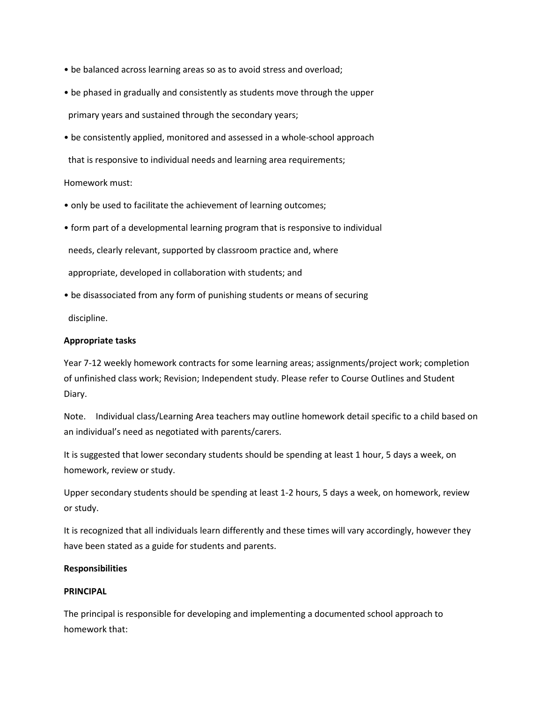- be balanced across learning areas so as to avoid stress and overload;
- be phased in gradually and consistently as students move through the upper primary years and sustained through the secondary years;
- be consistently applied, monitored and assessed in a whole-school approach

that is responsive to individual needs and learning area requirements;

#### Homework must:

- only be used to facilitate the achievement of learning outcomes;
- form part of a developmental learning program that is responsive to individual

needs, clearly relevant, supported by classroom practice and, where

appropriate, developed in collaboration with students; and

• be disassociated from any form of punishing students or means of securing

discipline.

#### **Appropriate tasks**

Year 7-12 weekly homework contracts for some learning areas; assignments/project work; completion of unfinished class work; Revision; Independent study. Please refer to Course Outlines and Student Diary.

Note. Individual class/Learning Area teachers may outline homework detail specific to a child based on an individual's need as negotiated with parents/carers.

It is suggested that lower secondary students should be spending at least 1 hour, 5 days a week, on homework, review or study.

Upper secondary students should be spending at least 1-2 hours, 5 days a week, on homework, review or study.

It is recognized that all individuals learn differently and these times will vary accordingly, however they have been stated as a guide for students and parents.

#### **Responsibilities**

#### **PRINCIPAL**

The principal is responsible for developing and implementing a documented school approach to homework that: